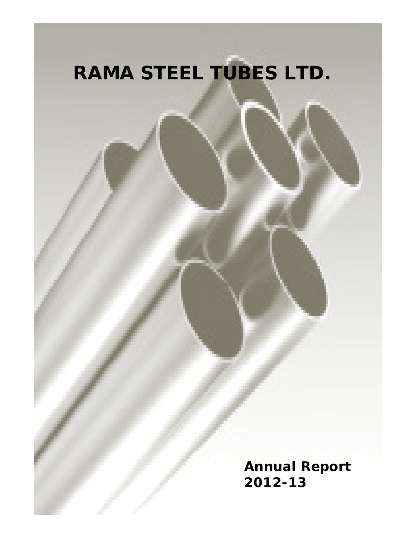# **RAMA STEEL TUBES LTD.**

**Annual Report 2012-13**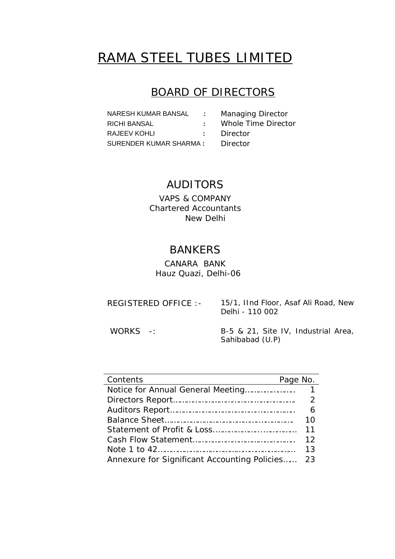# RAMA STEEL TUBES LIMITED

# BOARD OF DIRECTORS

| NARESH KUMAR BANSAL     | in 1999.     | <b>Managing Director</b> |
|-------------------------|--------------|--------------------------|
| RICHI BANSAL            | t i          | Whole Time Director      |
| RAJEEV KOHLI            | $\mathbf{L}$ | Director                 |
| SURENDER KUMAR SHARMA : |              | Director                 |

# AUDITORS

VAPS & COMPANY Chartered Accountants New Delhi

# BANKERS

CANARA BANK Hauz Quazi, Delhi-06

| REGISTERED OFFICE : - | 15/1, IInd Floor, Asaf Ali Road, New |
|-----------------------|--------------------------------------|
|                       | Delhi - 110 002                      |

WORKS -: B-5 & 21, Site IV, Industrial Area, Sahibabad (U.P)

| Page No.<br>Contents                         |    |
|----------------------------------------------|----|
|                                              |    |
|                                              | 2  |
|                                              | 6  |
|                                              | 10 |
|                                              | 11 |
|                                              | 12 |
|                                              | 13 |
| Annexure for Significant Accounting Policies | 23 |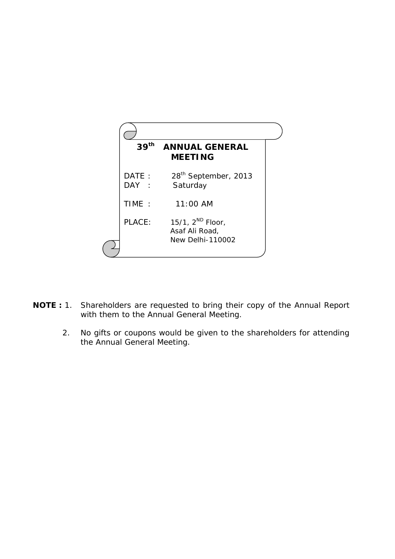

- **NOTE :** 1. Shareholders are requested to bring their copy of the Annual Report with them to the Annual General Meeting.
	- 2. No gifts or coupons would be given to the shareholders for attending the Annual General Meeting.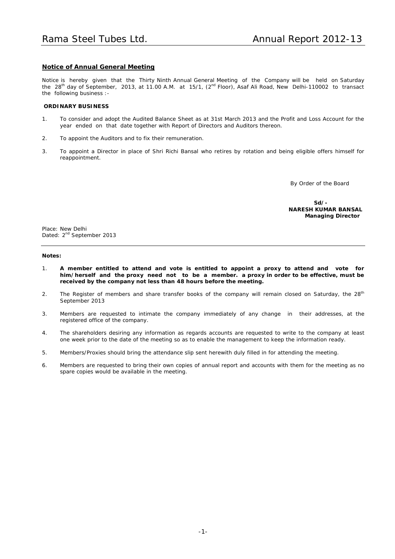### **Notice of Annual General Meeting**

Notice is hereby given that the Thirty Ninth Annual General Meeting of the Company will be held on Saturday the 28<sup>th</sup> day of September, 2013, at 11.00 A.M. at 15/1, (2<sup>nd</sup> Floor), Asaf Ali Road, New Delhi-110002 to transact the following business :-

### **ORDINARY BUSINESS**

- 1. To consider and adopt the Audited Balance Sheet as at 31st March 2013 and the Profit and Loss Account for the year ended on that date together with Report of Directors and Auditors thereon.
- 2. To appoint the Auditors and to fix their remuneration.
- 3. To appoint a Director in place of Shri Richi Bansal who retires by rotation and being eligible offers himself for reappointment.

By Order of the Board

**Sd/- NARESH KUMAR BANSAL Managing Director**

Place: New Delhi Dated: 2<sup>nd</sup> September 2013

### **Notes:**

- 1. **A member entitled to attend and vote is entitled to appoint a proxy to attend and vote for** him/herself and the proxy need not to be a member. a proxy in order to be effective, must be **received by the company not less than 48 hours before the meeting.**
- 2. The Register of members and share transfer books of the company will remain closed on Saturday, the 28<sup>th</sup> September 2013
- 3. Members are requested to intimate the company immediately of any change in their addresses, at the registered office of the company.
- 4. The shareholders desiring any information as regards accounts are requested to write to the company at least one week prior to the date of the meeting so as to enable the management to keep the information ready.
- 5. Members/Proxies should bring the attendance slip sent herewith duly filled in for attending the meeting.
- 6. Members are requested to bring their own copies of annual report and accounts with them for the meeting as no spare copies would be available in the meeting.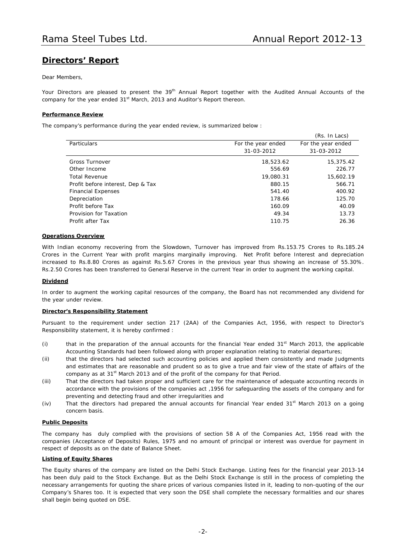# **Directors' Report**

### Dear Members,

Your Directors are pleased to present the 39<sup>th</sup> Annual Report together with the Audited Annual Accounts of the company for the year ended 31<sup>st</sup> March, 2013 and Auditor's Report thereon.

### **Performance Review**

The company's performance during the year ended review, is summarized below :

|                                   |                    | (Rs. In Lacs)      |
|-----------------------------------|--------------------|--------------------|
| Particulars                       | For the year ended | For the year ended |
|                                   | 31-03-2012         | 31-03-2012         |
| Gross Turnover                    | 18,523.62          | 15,375.42          |
| Other Income                      | 556.69             | 226.77             |
| <b>Total Revenue</b>              | 19,080.31          | 15,602.19          |
| Profit before interest, Dep & Tax | 880.15             | 566.71             |
| <b>Financial Expenses</b>         | 541.40             | 400.92             |
| Depreciation                      | 178.66             | 125.70             |
| Profit before Tax                 | 160.09             | 40.09              |
| Provision for Taxation            | 49.34              | 13.73              |
| Profit after Tax                  | 110.75             | 26.36              |

### **Operations Overview**

With Indian economy recovering from the Slowdown, Turnover has improved from Rs.153.75 Crores to Rs.185.24 Crores in the Current Year with profit margins marginally improving. Net Profit before Interest and depreciation increased to Rs.8.80 Crores as against Rs.5.67 Crores in the previous year thus showing an increase of 55.30%. Rs.2.50 Crores has been transferred to General Reserve in the current Year in order to augment the working capital.

### **Dividend**

In order to augment the working capital resources of the company, the Board has not recommended any dividend for the year under review.

### **Director's Responsibility Statement**

Pursuant to the requirement under section 217 (2AA) of the Companies Act, 1956, with respect to Director's Responsibility statement, it is hereby confirmed :

- (i) that in the preparation of the annual accounts for the financial Year ended  $31<sup>st</sup>$  March 2013, the applicable Accounting Standards had been followed along with proper explanation relating to material departures;
- (ii) that the directors had selected such accounting policies and applied them consistently and made Judgments and estimates that are reasonable and prudent so as to give a true and fair view of the state of affairs of the company as at 31<sup>st</sup> March 2013 and of the profit of the company for that Period.
- (iii) That the directors had taken proper and sufficient care for the maintenance of adequate accounting records in accordance with the provisions of the companies act ,1956 for safeguarding the assets of the company and for preventing and detecting fraud and other irregularities and
- (iv) That the directors had prepared the annual accounts for financial Year ended 31<sup>st</sup> March 2013 on a going concern basis.

### **Public Deposits**

The company has duly complied with the provisions of section 58 A of the Companies Act, 1956 read with the companies (Acceptance of Deposits) Rules, 1975 and no amount of principal or interest was overdue for payment in respect of deposits as on the date of Balance Sheet.

### **Listing of Equity Shares**

The Equity shares of the company are listed on the Delhi Stock Exchange. Listing fees for the financial year 2013-14 has been duly paid to the Stock Exchange. But as the Delhi Stock Exchange is still in the process of completing the necessary arrangements for quoting the share prices of various companies listed in it, leading to non-quoting of the our Company's Shares too. It is expected that very soon the DSE shall complete the necessary formalities and our shares shall begin being quoted on DSE.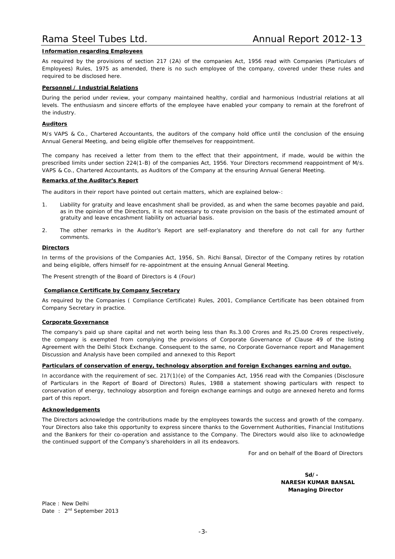### **Information regarding Employees**

As required by the provisions of section 217 (2A) of the companies Act, 1956 read with Companies (Particulars of Employees) Rules, 1975 as amended, there is no such employee of the company, covered under these rules and required to be disclosed here.

### **Personnel / Industrial Relations**

During the period under review, your company maintained healthy, cordial and harmonious Industrial relations at all levels. The enthusiasm and sincere efforts of the employee have enabled your company to remain at the forefront of the industry.

### **Auditors**

M/s VAPS & Co., Chartered Accountants, the auditors of the company hold office until the conclusion of the ensuing Annual General Meeting, and being eligible offer themselves for reappointment.

The company has received a letter from them to the effect that their appointment, if made, would be within the prescribed limits under section 224(1-B) of the companies Act, 1956. Your Directors recommend reappointment of M/s. VAPS & Co., Chartered Accountants, as Auditors of the Company at the ensuring Annual General Meeting.

### **Remarks of the Auditor's Report**

The auditors in their report have pointed out certain matters, which are explained below-:

- 1. Liability for gratuity and leave encashment shall be provided, as and when the same becomes payable and paid, as in the opinion of the Directors, it is not necessary to create provision on the basis of the estimated amount of gratuity and leave encashment liability on actuarial basis.
- 2. The other remarks in the Auditor's Report are self-explanatory and therefore do not call for any further comments.

### **Directors**

In terms of the provisions of the Companies Act, 1956, Sh. Richi Bansal, Director of the Company retires by rotation and being eligible, offers himself for re-appointment at the ensuing Annual General Meeting.

The Present strength of the Board of Directors is 4 (Four)

### **Compliance Certificate by Company Secretary**

As required by the Companies ( Compliance Certificate) Rules, 2001, Compliance Certificate has been obtained from Company Secretary in practice.

### **Corporate Governance**

The company's paid up share capital and net worth being less than Rs.3.00 Crores and Rs.25.00 Crores respectively, the company is exempted from complying the provisions of Corporate Governance of Clause 49 of the listing Agreement with the Delhi Stock Exchange. Consequent to the same, no Corporate Governance report and Management Discussion and Analysis have been compiled and annexed to this Report

### **Particulars of conservation of energy, technology absorption and foreign Exchanges earning and outgo.**

In accordance with the requirement of sec. 217(1)(e) of the Companies Act, 1956 read with the Companies (Disclosure of Particulars in the Report of Board of Directors) Rules, 1988 a statement showing particulars with respect to conservation of energy, technology absorption and foreign exchange earnings and outgo are annexed hereto and forms part of this report.

### **Acknowledgements**

The Directors acknowledge the contributions made by the employees towards the success and growth of the company. Your Directors also take this opportunity to express sincere thanks to the Government Authorities, Financial Institutions and the Bankers for their co-operation and assistance to the Company. The Directors would also like to acknowledge the continued support of the Company's shareholders in all its endeavors.

For and on behalf of the Board of Directors

**Sd/- NARESH KUMAR BANSAL Managing Director**

Place : New Delhi Date: 2<sup>nd</sup> September 2013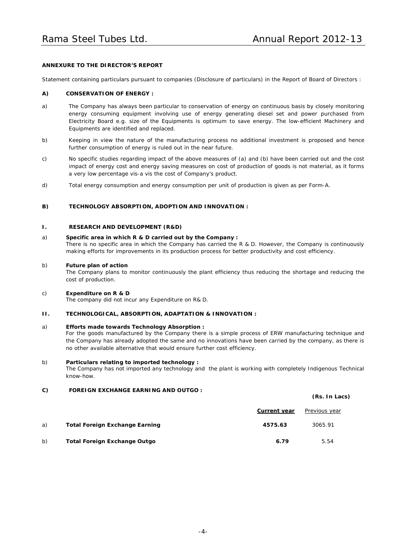**(Rs. In Lacs)**

### **ANNEXURE TO THE DIRECTOR'S REPORT**

Statement containing particulars pursuant to companies (Disclosure of particulars) in the Report of Board of Directors :

### **A) CONSERVATION OF ENERGY :**

- a) The Company has always been particular to conservation of energy on continuous basis by closely monitoring energy consuming equipment involving use of energy generating diesel set and power purchased from Electricity Board e.g. size of the Equipments is optimum to save energy. The low-efficient Machinery and Equipments are identified and replaced.
- b) Keeping in view the nature of the manufacturing process no additional investment is proposed and hence further consumption of energy is ruled out in the near future.
- c) No specific studies regarding impact of the above measures of (a) and (b) have been carried out and the cost impact of energy cost and energy saving measures on cost of production of goods is not material, as it forms a very low percentage vis-a vis the cost of Company's product.
- d) Total energy consumption and energy consumption per unit of production is given as per Form-A.

### **B) TECHNOLOGY ABSORPTION, ADOPTION AND INNOVATION :**

### **I. RESEARCH AND DEVELOPMENT (R&D)**

### a) **Specific area in which R & D carried out by the Company :**

There is no specific area in which the Company has carried the R & D. However, the Company is continuously making efforts for improvements in its production process for better productivity and cost efficiency.

### b) **Future plan of action**

The Company plans to monitor continuously the plant efficiency thus reducing the shortage and reducing the cost of production.

### c) **Expenditure on R & D**

The company did not incur any Expenditure on R& D.

### **II. TECHNOLOGICAL, ABSORPTION, ADAPTATION & INNOVATION :**

### a) **Efforts made towards Technology Absorption :**

For the goods manufactured by the Company there is a simple process of ERW manufacturing technique and the Company has already adopted the same and no innovations have been carried by the company, as there is no other available alternative that would ensure further cost efficiency.

### b) **Particulars relating to imported technology :**

The Company has not imported any technology and the plant is working with completely Indigenous Technical know-how.

### **C) FOREIGN EXCHANGE EARNING AND OUTGO :**

|    |                                       | Current year | Previous year |
|----|---------------------------------------|--------------|---------------|
| a) | <b>Total Foreign Exchange Earning</b> | 4575.63      | 3065.91       |
| b) | <b>Total Foreign Exchange Outgo</b>   | 6.79         | 5.54          |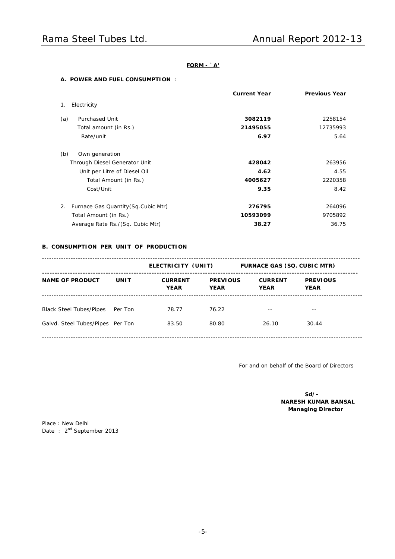### **FORM - `A'**

### **A. POWER AND FUEL CONSUMPTION** :

|                                            | <b>Current Year</b> | <b>Previous Year</b> |
|--------------------------------------------|---------------------|----------------------|
| Electricity<br>1.                          |                     |                      |
| <b>Purchased Unit</b><br>(a)               | 3082119             | 2258154              |
| Total amount (in Rs.)                      | 21495055            | 12735993             |
| Rate/unit                                  | 6.97                | 5.64                 |
| (b)<br>Own generation                      |                     |                      |
| Through Diesel Generator Unit              | 428042              | 263956               |
| Unit per Litre of Diesel Oil               | 4.62                | 4.55                 |
| Total Amount (in Rs.)                      | 4005627             | 2220358              |
| Cost/Unit                                  | 9.35                | 8.42                 |
| Furnace Gas Quantity (Sq. Cubic Mtr)<br>2. | 276795              | 264096               |
| Total Amount (in Rs.)                      | 10593099            | 9705892              |
| Average Rate Rs./(Sq. Cubic Mtr)           | 38.27               | 36.75                |

### **B. CONSUMPTION PER UNIT OF PRODUCTION**

|                                  |         | ELECTRICITY (UNIT)            |                                | <b>FURNACE GAS (SQ. CUBIC MTR)</b> |                                |
|----------------------------------|---------|-------------------------------|--------------------------------|------------------------------------|--------------------------------|
| <b>NAME OF PRODUCT</b>           | UNIT    | <b>CURRENT</b><br><b>YEAR</b> | <b>PREVIOUS</b><br><b>YEAR</b> | <b>CURRENT</b><br><b>YEAR</b>      | <b>PREVIOUS</b><br><b>YEAR</b> |
| <b>Black Steel Tubes/Pipes</b>   | Per Ton | 78.77                         | 76.22                          | $- -$                              | $- -$                          |
| Galvd. Steel Tubes/Pipes Per Ton |         | 83.50                         | 80.80                          | 26.10                              | 30.44                          |
|                                  |         |                               |                                |                                    |                                |

For and on behalf of the Board of Directors

| $Sd/$ -                    |
|----------------------------|
| <b>NARESH KUMAR BANSAL</b> |
| <b>Managing Director</b>   |

Place : New Delhi Date: 2<sup>nd</sup> September 2013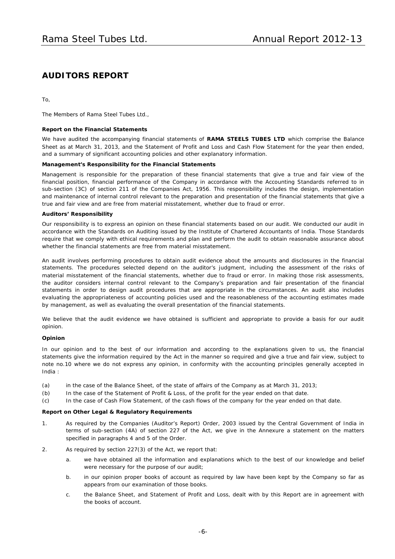# **AUDITORS REPORT**

To,

The Members of Rama Steel Tubes Ltd.,

### **Report on the Financial Statements**

We have audited the accompanying financial statements of **RAMA STEELS TUBES LTD** which comprise the Balance Sheet as at March 31, 2013, and the Statement of Profit and Loss and Cash Flow Statement for the year then ended, and a summary of significant accounting policies and other explanatory information.

### **Management's Responsibility for the Financial Statements**

Management is responsible for the preparation of these financial statements that give a true and fair view of the financial position, financial performance of the Company in accordance with the Accounting Standards referred to in sub-section (3C) of section 211 of the Companies Act, 1956. This responsibility includes the design, implementation and maintenance of internal control relevant to the preparation and presentation of the financial statements that give a true and fair view and are free from material misstatement, whether due to fraud or error.

### **Auditors' Responsibility**

Our responsibility is to express an opinion on these financial statements based on our audit. We conducted our audit in accordance with the Standards on Auditing issued by the Institute of Chartered Accountants of India. Those Standards require that we comply with ethical requirements and plan and perform the audit to obtain reasonable assurance about whether the financial statements are free from material misstatement.

An audit involves performing procedures to obtain audit evidence about the amounts and disclosures in the financial statements. The procedures selected depend on the auditor's judgment, including the assessment of the risks of material misstatement of the financial statements, whether due to fraud or error. In making those risk assessments, the auditor considers internal control relevant to the Company's preparation and fair presentation of the financial statements in order to design audit procedures that are appropriate in the circumstances. An audit also includes evaluating the appropriateness of accounting policies used and the reasonableness of the accounting estimates made by management, as well as evaluating the overall presentation of the financial statements.

We believe that the audit evidence we have obtained is sufficient and appropriate to provide a basis for our audit opinion.

### **Opinion**

In our opinion and to the best of our information and according to the explanations given to us, the financial statements give the information required by the Act in the manner so required and give a true and fair view, *subject to note no.10 where we do not express any opinion*, in conformity with the accounting principles generally accepted in India :

- (a) in the case of the Balance Sheet, of the state of affairs of the Company as at March 31, 2013;
- (b) In the case of the Statement of Profit & Loss, of the profit for the year ended on that date.
- (c) In the case of Cash Flow Statement, of the cash flows of the company for the year ended on that date.

### **Report on Other Legal & Regulatory Requirements**

- 1. As required by the Companies (Auditor's Report) Order, 2003 issued by the Central Government of India in terms of sub-section (4A) of section 227 of the Act, we give in the Annexure a statement on the matters specified in paragraphs 4 and 5 of the Order.
- 2. As required by section 227(3) of the Act, we report that:
	- a. we have obtained all the information and explanations which to the best of our knowledge and belief were necessary for the purpose of our audit;
	- b. in our opinion proper books of account as required by law have been kept by the Company so far as appears from our examination of those books.
	- c. the Balance Sheet, and Statement of Profit and Loss, dealt with by this Report are in agreement with the books of account.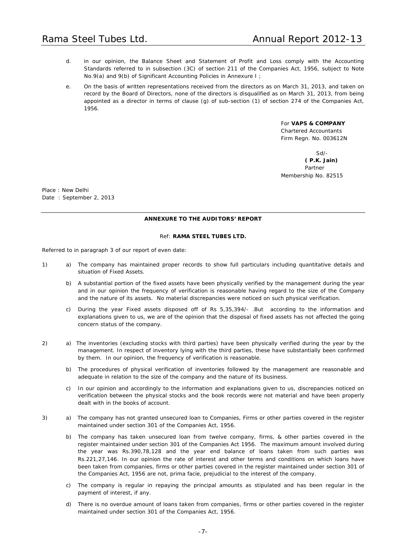- d. in our opinion, the Balance Sheet and Statement of Profit and Loss comply with the Accounting Standards referred to in subsection (3C) of section 211 of the Companies Act, 1956, subject to Note No.9(a) and 9(b) of Significant Accounting Policies in Annexure I ;
- e. On the basis of written representations received from the directors as on March 31, 2013, and taken on record by the Board of Directors, none of the directors is disqualified as on March 31, 2013, from being appointed as a director in terms of clause (g) of sub-section (1) of section 274 of the Companies Act, 1956.

For **VAPS & COMPANY** Chartered Accountants Firm Regn. No. 003612N

Sd/- **( P.K. Jain)** Partner Membership No. 82515

Place : New Delhi Date : September 2, 2013

### **ANNEXURE TO THE AUDITORS' REPORT**

### Ref: **RAMA STEEL TUBES LTD.**

Referred to in paragraph 3 of our report of even date:

- 1) a) The company has maintained proper records to show full particulars including quantitative details and situation of Fixed Assets.
	- b) A substantial portion of the fixed assets have been physically verified by the management during the year and in our opinion the frequency of verification is reasonable having regard to the size of the Company and the nature of its assets. No material discrepancies were noticed on such physical verification.
	- c) During the year Fixed assets disposed off of Rs 5,35,394/- .But according to the information and explanations given to us, we are of the opinion that the disposal of fixed assets has not affected the going concern status of the company.
- 2) a) The inventories (excluding stocks with third parties) have been physically verified during the year by the management. In respect of inventory lying with the third parties, these have substantially been confirmed by them. In our opinion, the frequency of verification is reasonable.
	- b) The procedures of physical verification of inventories followed by the management are reasonable and adequate in relation to the size of the company and the nature of its business.
	- c) In our opinion and accordingly to the information and explanations given to us, discrepancies noticed on verification between the physical stocks and the book records were not material and have been properly dealt with in the books of account.
- 3) a) The company has not granted unsecured loan to Companies, Firms or other parties covered in the register maintained under section 301 of the Companies Act, 1956.
	- b) The company has taken unsecured loan from twelve company, firms, & other parties covered in the register maintained under section 301 of the Companies Act 1956. The maximum amount involved during the year was Rs.390,78,128 and the year end balance of loans taken from such parties was Rs.221,27,146. In our opinion the rate of interest and other terms and conditions on which loans have been taken from companies, firms or other parties covered in the register maintained under section 301 of the Companies Act, 1956 are not, prima facie, prejudicial to the interest of the company.
	- c) The company is regular in repaying the principal amounts as stipulated and has been regular in the payment of interest, if any.
	- d) There is no overdue amount of loans taken from companies, firms or other parties covered in the register maintained under section 301 of the Companies Act, 1956.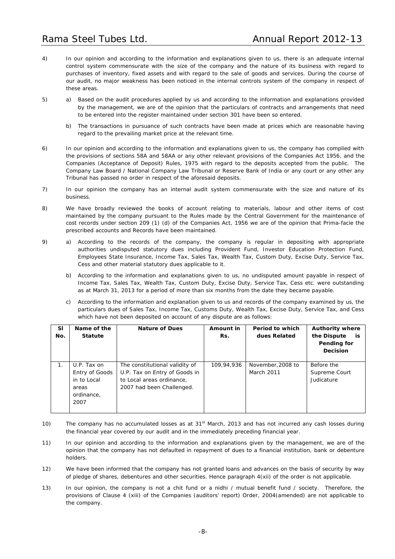- 4) In our opinion and according to the information and explanations given to us, there is an adequate internal control system commensurate with the size of the company and the nature of its business with regard to purchases of inventory, fixed assets and with regard to the sale of goods and services. During the course of our audit, no major weakness has been noticed in the internal controls system of the company in respect of these areas.
- 5) a) Based on the audit procedures applied by us and according to the information and explanations provided by the management, we are of the opinion that the particulars of contracts and arrangements that need to be entered into the register maintained under section 301 have been so entered.
	- b) The transactions in pursuance of such contracts have been made at prices which are reasonable having regard to the prevailing market price at the relevant time.
- 6) In our opinion and according to the information and explanations given to us, the company has complied with the provisions of sections 58A and 58AA or any other relevant provisions of the Companies Act 1956, and the Companies (Acceptance of Deposit) Rules, 1975 with regard to the deposits accepted from the public. The Company Law Board / National Company Law Tribunal or Reserve Bank of India or any court or any other any Tribunal has passed no order in respect of the aforesaid deposits.
- 7) In our opinion the company has an internal audit system commensurate with the size and nature of its business.
- 8) We have broadly reviewed the books of account relating to materials, labour and other items of cost maintained by the company pursuant to the Rules made by the Central Government for the maintenance of cost records under section 209 (1) (d) of the Companies Act, 1956 we are of the opinion that Prima-facie the prescribed accounts and Records have been maintained.
- 9) a) According to the records of the company, the company is regular in depositing with appropriate authorities undisputed statutory dues including Provident Fund, Investor Education Protection Fund, Employees State Insurance, Income Tax, Sales Tax, Wealth Tax, Custom Duty, Excise Duty, Service Tax, Cess and other material statutory dues applicable to it.
	- b) According to the information and explanations given to us, no undisputed amount payable in respect of Income Tax, Sales Tax, Wealth Tax, Custom Duty, Excise Duty, Service Tax, Cess etc. were outstanding as at March 31, 2013 for a period of more than six months from the date they became payable.
	- c) According to the information and explanation given to us and records of the company examined by us, the particulars dues of Sales Tax, Income Tax, Customs Duty, Wealth Tax, Excise Duty, Service Tax, and Cess which have not been deposited on account of any dispute are as follows:

| <b>SI</b> | Name of the    | <b>Nature of Dues</b>          | Amount in  | Period to which   | <b>Authority where</b> |
|-----------|----------------|--------------------------------|------------|-------------------|------------------------|
| No.       | <b>Statute</b> |                                | Rs.        | dues Related      | the Dispute<br>is      |
|           |                |                                |            |                   | Pending for            |
|           |                |                                |            |                   | Decision               |
|           |                |                                |            |                   |                        |
| $1_{-}$   | U.P. Tax on    | The constitutional validity of | 109,94,936 | November, 2008 to | Before the             |
|           | Entry of Goods | U.P. Tax on Entry of Goods in  |            | March 2011        | Supreme Court          |
|           | in to Local    | to Local areas ordinance,      |            |                   | Judicature             |
|           | areas          | 2007 had been Challenged.      |            |                   |                        |
|           | ordinance,     |                                |            |                   |                        |
|           | 2007           |                                |            |                   |                        |
|           |                |                                |            |                   |                        |

- 10) The company has no accumulated losses as at 31<sup>st</sup> March, 2013 and has not incurred any cash losses during the financial year covered by our audit and in the immediately preceding financial year.
- 11) In our opinion and according to the information and explanations given by the management, we are of the opinion that the company has not defaulted in repayment of dues to a financial institution, bank or debenture holders.
- 12) We have been informed that the company has not granted loans and advances on the basis of security by way of pledge of shares, debentures and other securities. Hence paragraph 4(xii) of the order is not applicable.
- 13) In our opinion, the company is not a chit fund or a nidhi / mutual benefit fund / society. Therefore, the provisions of Clause 4 (xiii) of the Companies (auditors' report) Order, 2004(amended) are not applicable to the company.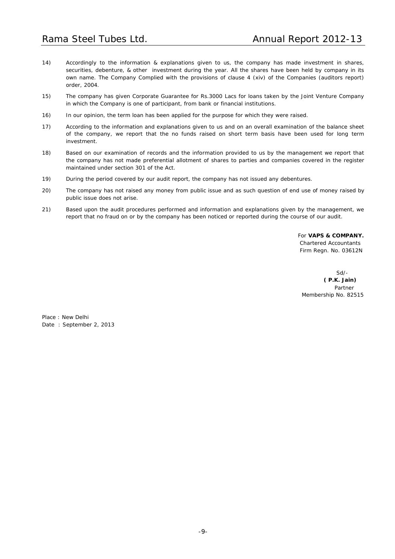- 14) Accordingly to the information & explanations given to us, the company has made investment in shares, securities, debenture, & other investment during the year. All the shares have been held by company in its own name. The Company Complied with the provisions of clause 4 (xiv) of the Companies (auditors report) order, 2004.
- 15) The company has given Corporate Guarantee for Rs.3000 Lacs for loans taken by the Joint Venture Company in which the Company is one of participant, from bank or financial institutions.
- 16) In our opinion, the term loan has been applied for the purpose for which they were raised.
- 17) According to the information and explanations given to us and on an overall examination of the balance sheet of the company, we report that the no funds raised on short term basis have been used for long term investment.
- 18) Based on our examination of records and the information provided to us by the management we report that the company has not made preferential allotment of shares to parties and companies covered in the register maintained under section 301 of the Act.
- 19) During the period covered by our audit report, the company has not issued any debentures.
- 20) The company has not raised any money from public issue and as such question of end use of money raised by public issue does not arise.
- 21) Based upon the audit procedures performed and information and explanations given by the management, we report that no fraud on or by the company has been noticed or reported during the course of our audit.

For **VAPS & COMPANY.** Chartered Accountants Firm Regn. No. 03612N

Sd/- **( P.K. Jain)** Partner Membership No. 82515

Place : New Delhi Date : September 2, 2013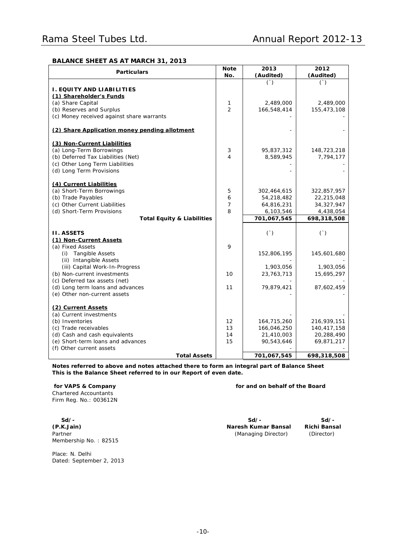### **BALANCE SHEET AS AT MARCH 31, 2013**

| <b>Particulars</b>                                          |                | 2013        | 2012         |
|-------------------------------------------------------------|----------------|-------------|--------------|
|                                                             |                | (Audited)   | (Audited)    |
| <b>I. EQUITY AND LIABILITIES</b><br>(1) Shareholder's Funds |                | $($ $)$     | ( )          |
| (a) Share Capital                                           | 1              | 2,489,000   | 2,489,000    |
| (b) Reserves and Surplus                                    | $\overline{2}$ | 166,548,414 | 155,473,108  |
| (c) Money received against share warrants                   |                |             |              |
| (2) Share Application money pending allotment               |                |             |              |
| (3) Non-Current Liabilities                                 |                |             |              |
| (a) Long-Term Borrowings                                    | 3              | 95,837,312  | 148,723,218  |
| (b) Deferred Tax Liabilities (Net)                          | $\overline{4}$ | 8,589,945   | 7,794,177    |
| (c) Other Long Term Liabilities                             |                |             |              |
| (d) Long Term Provisions                                    |                |             |              |
| (4) Current Liabilities                                     |                |             |              |
| (a) Short-Term Borrowings                                   | 5              | 302,464,615 | 322,857,957  |
| (b) Trade Payables                                          | 6              | 54,218,482  | 22,215,048   |
| (c) Other Current Liabilities                               | $\overline{7}$ | 64,816,231  | 34, 327, 947 |
| (d) Short-Term Provisions                                   | 8              | 6,103,546   | 4,438,054    |
| <b>Total Equity &amp; Liabilities</b>                       |                | 701,067,545 | 698,318,508  |
| <b>II. ASSETS</b>                                           |                | ( )         | $($ )        |
| (1) Non-Current Assets                                      |                |             |              |
| (a) Fixed Assets                                            | 9              |             |              |
| <b>Tangible Assets</b><br>(i)                               |                | 152,806,195 | 145,601,680  |
| (ii) Intangible Assets                                      |                |             |              |
| (iii) Capital Work-In-Progress                              |                | 1,903,056   | 1,903,056    |
| (b) Non-current investments                                 | 10             | 23,763,713  | 15,695,297   |
| (c) Deferred tax assets (net)                               |                |             |              |
| (d) Long term loans and advances                            | 11             | 79,879,421  | 87,602,459   |
| (e) Other non-current assets                                |                |             |              |
| (2) Current Assets                                          |                |             |              |
| (a) Current investments                                     |                |             |              |
| (b) Inventories                                             | 12             | 164,715,260 | 216,939,151  |
| (c) Trade receivables                                       | 13             | 166,046,250 | 140,417,158  |
| (d) Cash and cash equivalents                               | 14             | 21,410,003  | 20,288,490   |
| (e) Short-term loans and advances                           | 15             | 90,543,646  | 69,871,217   |
| (f) Other current assets                                    |                |             |              |
| <b>Total Assets</b>                                         |                | 701,067,545 | 698,318,508  |

*Notes referred to above and notes attached there to form an integral part of Balance Sheet This is the Balance Sheet referred to in our Report of even date.*

Chartered Accountants Firm Reg. No.: 003612N

**(P.K.Jain) Naresh Kumar Bansal Richi Bansal** Partner (Managing Director) (Director) (Director) (Director) (Director) (Director) (Director) (Director) (Director) Membership No. : 82515

Place: N. Delhi Dated: September 2, 2013

### *for VAPS & Company for and on behalf of the Board*

**Sd/- Sd/- Sd/-**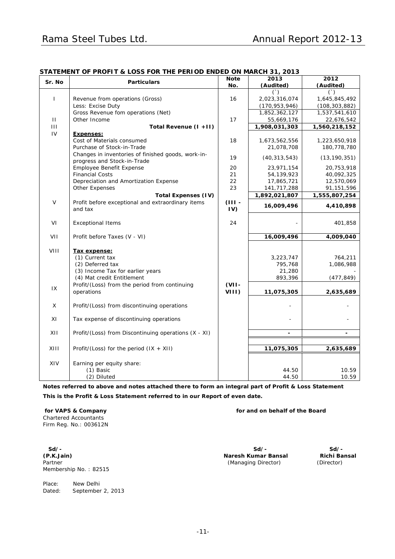| Sr. No       | <b>Particulars</b>                                                                |          | 2013                     | 2012                     |
|--------------|-----------------------------------------------------------------------------------|----------|--------------------------|--------------------------|
|              |                                                                                   | No.      | (Audited)                | (Audited)                |
|              |                                                                                   |          | $($ )                    | $($ )                    |
| T            | Revenue from operations (Gross)                                                   | 16       | 2,023,316,074            | 1,645,845,492            |
|              | Less: Excise Duty                                                                 |          | (170, 953, 946)          | (108, 303, 882)          |
|              | Gross Revenue fom operations (Net)                                                |          | 1,852,362,127            | 1,537,541,610            |
| $\mathbf{H}$ | Other Income                                                                      | 17       | 55,669,176               | 22,676,542               |
| $\mathbf{H}$ | Total Revenue (I +11)                                                             |          | 1,908,031,303            | 1,560,218,152            |
| IV           | <b>Expenses:</b>                                                                  |          |                          |                          |
|              | Cost of Materials consumed                                                        | 18       | 1,673,562,556            | 1,223,650,918            |
|              | Purchase of Stock-in-Trade                                                        |          | 21,078,708               | 180,778,780              |
|              | Changes in inventories of finished goods, work-in-<br>progress and Stock-in-Trade | 19       | (40, 313, 543)           | (13, 190, 351)           |
|              | <b>Employee Benefit Expense</b>                                                   | 20       | 23,971,154               | 20,753,918               |
|              | <b>Financial Costs</b>                                                            | 21       | 54,139,923               | 40,092,325               |
|              | Depreciation and Amortization Expense                                             | 22       | 17,865,721               | 12,570,069               |
|              | Other Expenses                                                                    | 23       | 141,717,288              | 91, 151, 596             |
|              | Total Expenses (IV)                                                               |          | 1,892,021,807            | 1,555,807,254            |
| V            | Profit before exceptional and extraordinary items                                 | $(III -$ |                          |                          |
|              | and tax                                                                           | IV)      | 16,009,496               | 4,410,898                |
| VI           | <b>Exceptional Items</b>                                                          | 24       |                          | 401,858                  |
| VII          | Profit before Taxes (V - VI)                                                      |          | 16,009,496               | 4,009,040                |
|              |                                                                                   |          |                          |                          |
| VIII         | Tax expense:                                                                      |          |                          |                          |
|              | (1) Current tax                                                                   |          | 3,223,747                | 764,211                  |
|              | (2) Deferred tax                                                                  |          | 795,768                  | 1,086,988                |
|              | (3) Income Tax for earlier years                                                  |          | 21,280                   |                          |
|              | (4) Mat credit Entitlement                                                        |          | 893,396                  | (477, 849)               |
| 1X           | Profit/(Loss) from the period from continuing                                     | $(VII -$ |                          |                          |
|              | operations                                                                        | VIII)    | 11,075,305               | 2,635,689                |
| X            | Profit/(Loss) from discontinuing operations                                       |          |                          |                          |
| XI           | Tax expense of discontinuing operations                                           |          |                          |                          |
| XII          | Profit/(Loss) from Discontinuing operations (X - XI)                              |          | $\overline{\phantom{a}}$ | $\overline{\phantom{a}}$ |
|              |                                                                                   |          |                          |                          |
| XIII         | Profit/(Loss) for the period $(IX + XII)$                                         |          | 11,075,305               | 2,635,689                |
| XIV          | Earning per equity share:                                                         |          |                          |                          |
|              | (1) Basic                                                                         |          | 44.50                    | 10.59                    |
|              | (2) Diluted                                                                       |          | 44.50                    | 10.59                    |

### **STATEMENT OF PROFIT & LOSS FOR THE PERIOD ENDED ON MARCH 31, 2013**

Notes referred to above and notes attached there to form an integral part of Profit & Loss Statement *This is the Profit & Loss Statement referred to in our Report of even date.*

*for VAPS & Company for and on behalf of the Board* Chartered Accountants Firm Reg. No.: 003612N

**(P.K.Jain) Naresh Kumar Bansal Richi Bansal** Membership No. : 82515

Place: New Delhi Dated: September 2, 2013

**Sd/- Sd/- Sd/-** (Managing Director)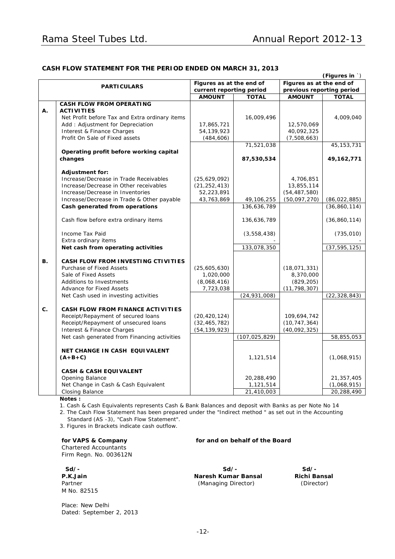### **CASH FLOW STATEMENT FOR THE PERIOD ENDED ON MARCH 31, 2013**

|    | (Figures in `)                                 |                               |                            |                           |                |  |
|----|------------------------------------------------|-------------------------------|----------------------------|---------------------------|----------------|--|
|    |                                                | Figures as at the end of      |                            | Figures as at the end of  |                |  |
|    | <b>PARTICULARS</b>                             | current reporting period      |                            | previous reporting period |                |  |
|    |                                                | <b>AMOUNT</b><br><b>TOTAL</b> |                            |                           | <b>TOTAL</b>   |  |
|    | <b>CASH FLOW FROM OPERATING</b>                |                               |                            |                           |                |  |
| Α. | <b>ACTIVITIES</b>                              |                               |                            |                           |                |  |
|    | Net Profit before Tax and Extra ordinary items |                               | 16,009,496                 |                           | 4,009,040      |  |
|    | Add: Adjustment for Depreciation               | 17,865,721                    |                            | 12,570,069                |                |  |
|    | Interest & Finance Charges                     | 54, 139, 923                  |                            | 40,092,325                |                |  |
|    | Profit On Sale of Fixed assets                 | (484, 606)                    |                            | (7,508,663)               |                |  |
|    |                                                |                               | 71,521,038                 |                           | 45, 153, 731   |  |
|    | Operating profit before working capital        |                               |                            |                           |                |  |
|    | changes                                        |                               | 87,530,534                 |                           | 49, 162, 771   |  |
|    |                                                |                               |                            |                           |                |  |
|    | Adjustment for:                                |                               |                            |                           |                |  |
|    | Increase/Decrease in Trade Receivables         |                               |                            |                           |                |  |
|    |                                                | (25,629,092)                  |                            | 4,706,851                 |                |  |
|    | Increase/Decrease in Other receivables         | (21, 252, 413)                |                            | 13,855,114                |                |  |
|    | Increase/Decrease in Inventories               | 52,223,891                    |                            | (54, 487, 580)            |                |  |
|    | Increase/Decrease in Trade & Other payable     | 43,763,869                    | 49,106,255                 | (50,097,270)              | (86,022,885)   |  |
|    | Cash generated from operations                 |                               | 136,636,789                |                           | (36, 860, 114) |  |
|    |                                                |                               |                            |                           |                |  |
|    | Cash flow before extra ordinary items          |                               | 136,636,789                |                           | (36, 860, 114) |  |
|    |                                                |                               |                            |                           |                |  |
|    | Income Tax Paid                                |                               | (3,558,438)                |                           | (735, 010)     |  |
|    | Extra ordinary items                           |                               |                            |                           |                |  |
|    | Net cash from operating activities             |                               | 133,078,350                |                           | (37, 595, 125) |  |
|    |                                                |                               |                            |                           |                |  |
| В. | CASH FLOW FROM INVESTING CTIVITIES             |                               |                            |                           |                |  |
|    | Purchase of Fixed Assets                       | (25,605,630)                  |                            | (18,071,331)              |                |  |
|    | Sale of Fixed Assets                           | 1,020,000                     |                            | 8,370,000                 |                |  |
|    | Additions to Investments                       | (8,068,416)                   |                            | (829, 205)                |                |  |
|    | Advance for Fixed Assets                       | 7,723,038                     |                            | (11, 798, 307)            |                |  |
|    | Net Cash used in investing activities          |                               | (24, 931, 008)             |                           | (22, 328, 843) |  |
|    |                                                |                               |                            |                           |                |  |
| C. | CASH FLOW FROM FINANCE ACTIVITIES              |                               |                            |                           |                |  |
|    | Receipt/Repayment of secured loans             | (20, 420, 124)                |                            | 109,694,742               |                |  |
|    | Receipt/Repayment of unsecured loans           | (32, 465, 782)                |                            | (10, 747, 364)            |                |  |
|    | Interest & Finance Charges                     | (54, 139, 923)                |                            | (40,092,325)              |                |  |
|    | Net cash generated from Financing activities   |                               | (107, 025, 829)            |                           | 58,855,053     |  |
|    |                                                |                               |                            |                           |                |  |
|    | NET CHANGE IN CASH EQUIVALENT                  |                               |                            |                           |                |  |
|    | $(A+B+C)$                                      |                               | 1,121,514                  |                           | (1,068,915)    |  |
|    |                                                |                               |                            |                           |                |  |
|    | <b>CASH &amp; CASH EQUIVALENT</b>              |                               |                            |                           |                |  |
|    | Opening Balance                                |                               | 20,288,490                 |                           | 21,357,405     |  |
|    | Net Change in Cash & Cash Equivalent           |                               |                            |                           |                |  |
|    |                                                |                               | 1,121,514                  |                           | (1,068,915)    |  |
|    | Closing Balance<br>Notes:                      |                               | $\overline{21}$ , 410, 003 |                           | 20,288,490     |  |

1. Cash & Cash Equivalents represents Cash & Bank Balances and deposit with Banks as per Note No 14

2. The Cash Flow Statement has been prepared under the "Indirect method " as set out in the Accounting Standard (AS -3), "Cash Flow Statement".

3. Figures in Brackets indicate cash outflow.

Chartered Accountants Firm Regn. No. 003612N

M No. 82515

Place: New Delhi Dated: September 2, 2013

### *for VAPS & Company for and on behalf of the Board*

**Sd/- Sd/- Sd/- P.K.Jain Naresh Kumar Bansal Richi Bansal** (Managing Director)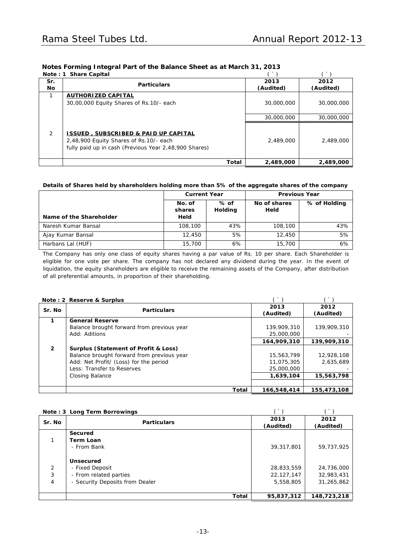|                  | Note: 1 Share Capital                                                                                                                              |       |                   |                   |
|------------------|----------------------------------------------------------------------------------------------------------------------------------------------------|-------|-------------------|-------------------|
| Sr.<br><b>No</b> | <b>Particulars</b>                                                                                                                                 |       | 2013<br>(Audited) | 2012<br>(Audited) |
|                  | <b>AUTHORIZED CAPITAL</b><br>30,00,000 Equity Shares of Rs.10/- each                                                                               |       | 30,000,000        | 30,000,000        |
|                  |                                                                                                                                                    |       | 30,000,000        | 30,000,000        |
| 2                | <b>ISSUED, SUBSCRIBED &amp; PAID UP CAPITAL</b><br>2,48,900 Equity Shares of Rs.10/- each<br>fully paid up in cash (Previous Year 2,48,900 Shares) |       | 2,489,000         | 2,489,000         |
|                  |                                                                                                                                                    | Total | 2,489,000         | 2,489,000         |

### *Notes Forming Integral Part of the Balance Sheet as at March 31, 2013*

### **Details of Shares held by shareholders holding more than 5% of the aggregate shares of the company**

|                         | <b>Current Year</b>      |                 | <b>Previous Year</b> |              |
|-------------------------|--------------------------|-----------------|----------------------|--------------|
| Name of the Shareholder | No. of<br>shares<br>Held | % of<br>Holding | No of shares<br>Held | % of Holding |
| Naresh Kumar Bansal     | 108,100                  | 43%             | 108,100              | 43%          |
| Ajay Kumar Bansal       | 12,450                   | 5%              | 12,450               | 5%           |
| Harbans Lal (HUF)       | 15,700                   | 6%              | 15,700               | 6%           |

The Company has only one class of equity shares having a par value of Rs. 10 per share. Each Shareholder is eligible for one vote per share. The company has not declared any dividend during the year. In the event of liquidation, the equity shareholders are eligible to receive the remaining assets of the Company, after distribution of all preferential amounts, in proportion of their shareholding.

|                | Note: 2 Reserve & Surplus                                                             |                           |                   |
|----------------|---------------------------------------------------------------------------------------|---------------------------|-------------------|
| Sr. No         | <b>Particulars</b>                                                                    | 2013<br>(Audited)         | 2012<br>(Audited) |
|                | <b>General Reserve</b><br>Balance brought forward from previous year<br>Add: Aditions | 139,909,310<br>25,000,000 | 139,909,310       |
|                |                                                                                       | 164.909.310               | 139,909,310       |
| $\overline{2}$ | Surplus (Statement of Profit & Loss)                                                  |                           |                   |
|                | Balance brought forward from previous year                                            | 15,563,799                | 12,928,108        |
|                | Add: Net Profit/ (Loss) for the period                                                | 11.075.305                | 2.635.689         |
|                | Less: Transfer to Reserves                                                            | 25,000,000                |                   |
|                | Closing Balance                                                                       | 1,639,104                 | 15,563,798        |
|                |                                                                                       |                           |                   |
|                | Total                                                                                 | 166,548,414               | 155,473,108       |

|  | Note: 3 Long Term Borrowings |
|--|------------------------------|
|  |                              |

|        | Note: 3 Long Term Borrowings    |                   |                   |
|--------|---------------------------------|-------------------|-------------------|
| Sr. No | <b>Particulars</b>              | 2013<br>(Audited) | 2012<br>(Audited) |
|        | Secured                         |                   |                   |
|        | Term Loan                       |                   |                   |
|        | - From Bank                     | 39,317,801        | 59,737,925        |
|        |                                 |                   |                   |
|        | Unsecured                       |                   |                   |
| 2      | - Fixed Deposit                 | 28,833,559        | 24,736,000        |
| 3      | - From related parties          | 22,127,147        | 32,983,431        |
| 4      | - Security Deposits from Dealer | 5,558,805         | 31,265,862        |
|        |                                 |                   |                   |
|        | Total                           | 95,837,312        | 148,723,218       |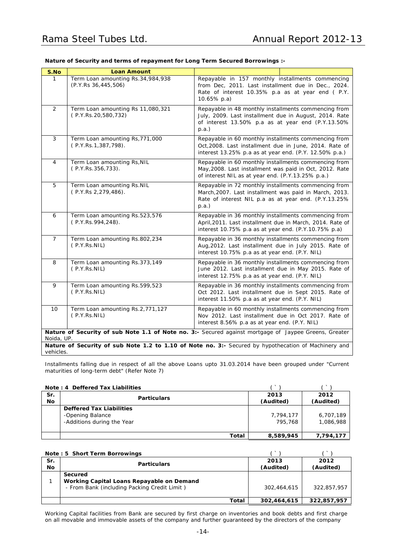| S.No                                                                                                                | <b>Loan Amount</b>                                       |                                                                                                                                                                                    |  |  |  |  |
|---------------------------------------------------------------------------------------------------------------------|----------------------------------------------------------|------------------------------------------------------------------------------------------------------------------------------------------------------------------------------------|--|--|--|--|
| $\mathbf{1}$                                                                                                        | Term Loan amounting Rs.34,984,938<br>(P.Y.Rs 36,445,506) | Repayable in 157 monthly installments commencing<br>from Dec, 2011. Last installment due in Dec., 2024.<br>Rate of interest 10.35% p.a as at year end (P.Y.<br>$10.65\%$ p.a)      |  |  |  |  |
| 2                                                                                                                   | Term Loan amounting Rs 11,080,321<br>(P.Y.Rs.20,580,732) | Repayable in 48 monthly installments commencing from<br>July, 2009. Last installment due in August, 2014. Rate<br>of interest 13.50% p.a as at year end (P.Y.13.50%<br>p.a.)       |  |  |  |  |
| 3                                                                                                                   | Term Loan amounting Rs, 771, 000<br>(P.Y.Rs.1,387,798).  | Repayable in 60 monthly installments commencing from<br>Oct, 2008. Last installment due in June, 2014. Rate of<br>interest 13.25% p.a as at year end. (P.Y. 12.50% p.a.)           |  |  |  |  |
| 4                                                                                                                   | Term Loan amounting Rs, NIL<br>(P.Y.Rs.356,733).         | Repayable in 60 monthly installments commencing from<br>May, 2008. Last installment was paid in Oct, 2012. Rate<br>of interest NIL as at year end. (P.Y.13.25% p.a.)               |  |  |  |  |
| 5                                                                                                                   | Term Loan amounting Rs.NIL<br>(P.Y.Rs 2,279,486).        | Repayable in 72 monthly installments commencing from<br>March, 2007. Last installment was paid in March, 2013.<br>Rate of interest NIL p.a as at year end. (P.Y.13.25%<br>$p.a.$ ) |  |  |  |  |
| 6                                                                                                                   | Term Loan amounting Rs.523,576<br>(P.Y.Rs.994,248).      | Repayable in 36 monthly installments commencing from<br>April, 2011. Last installment due in March, 2014. Rate of<br>interest 10.75% p.a as at year end. (P.Y.10.75% p.a)          |  |  |  |  |
| $\overline{7}$                                                                                                      | Term Loan amounting Rs.802,234<br>(P.Y.Rs.NIL)           | Repayable in 36 monthly installments commencing from<br>Aug, 2012. Last installment due in July 2015. Rate of<br>interest 10.75% p.a as at year end. (P.Y. NIL)                    |  |  |  |  |
| 8                                                                                                                   | Term Loan amounting Rs. 373, 149<br>(P.Y.Rs.NIL)         | Repayable in 36 monthly installments commencing from<br>June 2012. Last installment due in May 2015. Rate of<br>interest 12.75% p.a as at year end. (P.Y. NIL)                     |  |  |  |  |
| 9                                                                                                                   | Term Loan amounting Rs.599,523<br>(P.Y.Rs.NIL)           | Repayable in 36 monthly installments commencing from<br>Oct 2012. Last installment due in Sept 2015. Rate of<br>interest 11.50% p.a as at year end. (P.Y. NIL)                     |  |  |  |  |
| 10                                                                                                                  | Term Loan amounting Rs.2,771,127<br>(P.Y.Rs.NIL)         | Repayable in 60 monthly installments commencing from<br>Nov 2012. Last installment due in Oct 2017. Rate of<br>interest 8.56% p.a as at year end. (P.Y. NIL)                       |  |  |  |  |
| Nature of Security of sub Note 1.1 of Note no. 3:- Secured against mortgage of Jaypee Greens, Greater<br>Noida, UP. |                                                          |                                                                                                                                                                                    |  |  |  |  |
| Nature of Security of sub Note 1.2 to 1.10 of Note no. 3:- Secured by hypothecation of Machinery and                |                                                          |                                                                                                                                                                                    |  |  |  |  |
| vehicles.                                                                                                           |                                                          |                                                                                                                                                                                    |  |  |  |  |

**Nature of Security and terms of repayment for Long Term Secured Borrowings :-**

Installments falling due in respect of all the above Loans upto 31.03.2014 have been grouped under "Current maturities of long-term debt" (Refer Note 7)

|  | Note: 4 Deffered Tax Liabilities |
|--|----------------------------------|
|  |                                  |

|                  | Note: 4 Deffered Tax Liabilities                                                  |                      |                        |
|------------------|-----------------------------------------------------------------------------------|----------------------|------------------------|
| Sr.<br><b>No</b> | <b>Particulars</b>                                                                | 2013<br>(Audited)    | 2012<br>(Audited)      |
|                  | <b>Deffered Tax Liabilities</b><br>-Opening Balance<br>-Additions during the Year | 7,794,177<br>795,768 | 6,707,189<br>1,086,988 |
|                  | Total                                                                             | 8.589.945            | 7.794.177              |

|            | Note: 5 Short Term Borrowings                                                                        |                   |                   |
|------------|------------------------------------------------------------------------------------------------------|-------------------|-------------------|
| Sr.<br>No. | <b>Particulars</b>                                                                                   | 2013<br>(Audited) | 2012<br>(Audited) |
|            | Secured<br>Working Capital Loans Repayable on Demand<br>- From Bank (including Packing Credit Limit) | 302,464,615       | 322.857.957       |
|            | Total                                                                                                | 302,464,615       | 322,857,957       |

Working Capital facilities from Bank are secured by first charge on inventories and book debts and first charge on all movable and immovable assets of the company and further guaranteed by the directors of the company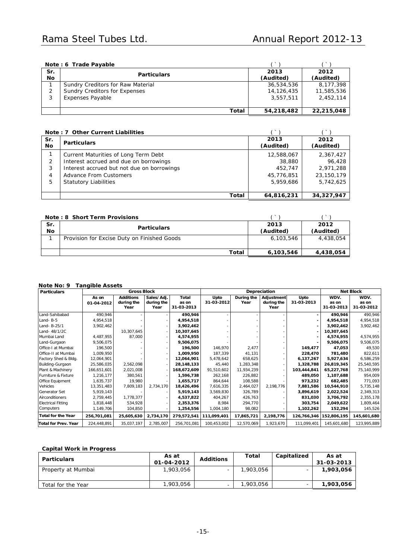|  |  |  |  | Note: 6 Trade Payable |  |
|--|--|--|--|-----------------------|--|
|--|--|--|--|-----------------------|--|

|            | Note: 6 Trade Payable                |                   |                   |
|------------|--------------------------------------|-------------------|-------------------|
| Sr.<br>No. | <b>Particulars</b>                   | 2013<br>(Audited) | 2012<br>(Audited) |
|            | Sundry Creditors for Raw Material    | 36,534,536        | 8.177.398         |
| 2          | <b>Sundry Creditors for Expenses</b> | 14,126,435        | 11,585,536        |
| 3          | Expenses Payable                     | 3,557,511         | 2.452.114         |
|            |                                      |                   |                   |
|            | Total                                | 54,218,482        | 22.215.048        |

|                  | Note: 7 Other Current Liabilities          |                   |                   |
|------------------|--------------------------------------------|-------------------|-------------------|
| Sr.<br><b>No</b> | <b>Particulars</b>                         | 2013<br>(Audited) | 2012<br>(Audited) |
|                  | Current Maturities of Long Term Debt       | 12,588,067        | 2,367,427         |
| 2                | Interest accrued and due on borrowings     | 38,880            | 96.428            |
| 3                | Interest accrued but not due on borrowings | 452.747           | 2,971,288         |
| 4                | Advance From Customers                     | 45,776,851        | 23,150,179        |
| 5                | <b>Statutory Liabilities</b>               | 5,959,686         | 5,742,625         |
|                  |                                            |                   |                   |
|                  | Total                                      | 64.816.231        | 34.327.947        |

|           | Note: 8 Short Term Provisions               |           |           |
|-----------|---------------------------------------------|-----------|-----------|
| Sr.       | <b>Particulars</b>                          | 2013      | 2012      |
| <b>No</b> |                                             | (Audited) | (Audited) |
|           | Provision for Excise Duty on Finished Goods | 6.103.546 | 4,438,054 |
|           | Total                                       | 6,103,546 | 4,438,054 |

### *Note No: 9 Tangible Assets*

| <b>Particulars</b>          |                     | <b>Gross Block</b>                     |                                  |                              |                         |                    | Depreciation                     |                    | <b>Net Block</b>            |                             |  |
|-----------------------------|---------------------|----------------------------------------|----------------------------------|------------------------------|-------------------------|--------------------|----------------------------------|--------------------|-----------------------------|-----------------------------|--|
|                             | As on<br>01-04-2012 | <b>Additions</b><br>during the<br>Year | Sales/Adj.<br>during the<br>Year | Total<br>as on<br>31-03-2013 | Upto<br>31-03-2012      | During the<br>Year | Adjustment<br>during the<br>Year | Upto<br>31-03-2013 | WDV.<br>as on<br>31-03-2013 | WDV.<br>as on<br>31-03-2012 |  |
| Land-Sahibabad              | 490,946             |                                        |                                  | 490,946                      |                         |                    |                                  |                    | 490,946                     | 490,946                     |  |
| Land-B-5                    | 4,954,518           |                                        |                                  | 4,954,518                    |                         |                    |                                  |                    | 4,954,518                   | 4,954,518                   |  |
| Land- B-25/1                | 3,902,462           |                                        |                                  | 3,902,462                    |                         |                    |                                  |                    | 3,902,462                   | 3,902,462                   |  |
| Land- 48/1/2C               |                     | 10,307,645                             |                                  | 10,307,645                   |                         |                    |                                  |                    | 10,307,645                  |                             |  |
| Mumbai Land                 | 4,487,955           | 87,000                                 |                                  | 4,574,955                    |                         |                    |                                  |                    | 4,574,955                   | 4,574,955                   |  |
| Land-Gurgaon                | 9,506,075           |                                        |                                  | 9,506,075                    |                         |                    |                                  |                    | 9,506,075                   | 9,506,075                   |  |
| Office-I at Mumbai          | 196,500             |                                        |                                  | 196,500                      | 146,970                 | 2,477              |                                  | 149,477            | 47,053                      | 49,530                      |  |
| Office-II at Mumbai         | 1,009,950           |                                        |                                  | 1,009,950                    | 187,339                 | 41,131             |                                  | 228,470            | 781.480                     | 822,611                     |  |
| Factory Shed & Bldg.        | 12,064,901          |                                        |                                  | 12,064,901                   | 5,478,642               | 658,625            |                                  | 6,137,267          | 5,927,634                   | 6,586,259                   |  |
| Building-Gurgaon            | 25,586,035          | 2,562,098                              |                                  | 28,148,133                   | 45,440                  | 1,283,348          |                                  | 1,328,788          | 26,819,345                  | 25,540,595                  |  |
| Plant & Machinery           | 166,651,601         | 2,021,008                              |                                  | 168,672,609                  | 91,510,602              | 11,934,239         |                                  | 103,444,841        | 65,227,768                  | 75,140,999                  |  |
| Furniture & Fixture         | 1,216,177           | 380,561                                |                                  | 1,596,738                    | 262,168                 | 226,882            |                                  | 489.050            | 1,107,688                   | 954,009                     |  |
| Office Equipment            | 1,635,737           | 19,980                                 |                                  | 1,655,717                    | 864,644                 | 108,588            |                                  | 973,232            | 682,485                     | 771,093                     |  |
| Vehicles                    | 13,351,483          | 7,809,183                              | 2,734,170                        | 18,426,496                   | 7,616,335               | 2,464,027          | 2,198,776                        | 7,881,586          | 10,544,910                  | 5,735,148                   |  |
| Generator Set               | 5,919,143           |                                        |                                  | 5,919,143                    | 3,569,830               | 326,789            |                                  | 3,896,619          | 2,022,524                   | 2,349,313                   |  |
| Airconditioners             | 2,759,445           | 1,778,377                              |                                  | 4,537,822                    | 404,267                 | 426,763            |                                  | 831,030            | 3,706,792                   | 2,355,178                   |  |
| <b>Electrical Fitting</b>   | 1,818,448           | 534,928                                |                                  | 2,353,376                    | 8.984                   | 294,770            |                                  | 303.754            | 2,049,622                   | 1,809,464                   |  |
| Computers                   | 1,149,706           | 104,850                                |                                  | 1,254,556                    | 1,004,180               | 98,082             |                                  | 1,102,262          | 152,294                     | 145,526                     |  |
| <b>Total for the Year</b>   | 256,701,081         | 25,605,630                             | 2,734,170                        |                              | 279,572,541 111,099,401 | 17,865,721         | 2,198,776                        |                    | 126,766,346 152,806,195     | 145,601,680                 |  |
| <b>Total for Prev. Year</b> | 224,448,891         | 35,037,197                             | 2,785,007                        | 256,701,081                  | 100,453,002             | 12,570,069         | 1,923,670                        | 111,099,401        | 145,601,680                 | 123,995,889                 |  |

### **Capital Work in Progress**

| <b>Particulars</b> | As at<br>01-04-2012 | <b>Additions</b>         | Total     | Capitalized | As at<br>31-03-2013 |
|--------------------|---------------------|--------------------------|-----------|-------------|---------------------|
| Property at Mumbai | 1,903,056           |                          | 1,903,056 |             | 1,903,056           |
| Total for the Year | 1,903,056           | $\overline{\phantom{0}}$ | 1,903,056 | -           | 1,903,056           |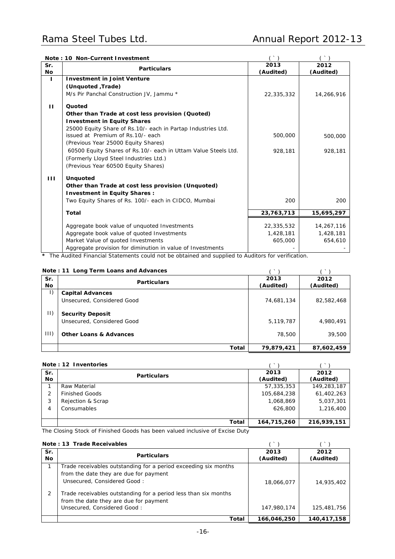|           | Note: 10 Non-Current Investment                                |                   |                   |
|-----------|----------------------------------------------------------------|-------------------|-------------------|
| Sr.<br>Νo | <b>Particulars</b>                                             | 2013<br>(Audited) | 2012<br>(Audited) |
| L         | <b>Investment in Joint Venture</b>                             |                   |                   |
|           | (Unquoted, Trade)                                              |                   |                   |
|           | M/s Pir Panchal Construction JV, Jammu *                       | 22,335,332        | 14,266,916        |
|           |                                                                |                   |                   |
| п         | Quoted                                                         |                   |                   |
|           | Other than Trade at cost less provision (Quoted)               |                   |                   |
|           | <b>Investment in Equity Shares</b>                             |                   |                   |
|           | 25000 Equity Share of Rs.10/- each in Partap Industries Ltd.   |                   |                   |
|           | issued at Premium of Rs.10/- each                              | 500,000           | 500,000           |
|           | (Previous Year 25000 Equity Shares)                            |                   |                   |
|           | 60500 Equity Shares of Rs.10/- each in Uttam Value Steels Ltd. | 928,181           | 928,181           |
|           | (Formerly Lloyd Steel Industries Ltd.)                         |                   |                   |
|           | (Previous Year 60500 Equity Shares)                            |                   |                   |
| Ш         | Unquoted                                                       |                   |                   |
|           | Other than Trade at cost less provision (Unquoted)             |                   |                   |
|           | <b>Investment in Equity Shares:</b>                            |                   |                   |
|           | Two Equity Shares of Rs. 100/- each in CIDCO, Mumbai           | 200               | 200               |
|           |                                                                |                   |                   |
|           | Total                                                          | 23,763,713        | 15,695,297        |
|           | Aggregate book value of unquoted Investments                   | 22,335,532        | 14,267,116        |
|           | Aggregate book value of quoted Investments                     | 1,428,181         | 1,428,181         |
|           | Market Value of quoted Investments                             | 605,000           | 654,610           |
|           | Aggregate provision for diminution in value of Investments     |                   |                   |

**\*** The Audited Financial Statements could not be obtained and supplied to Auditors for verification.

### *Note : 11 Long Term Loans and Advances* ( ` ) ( ` )

| Sr.<br><b>No</b> | <b>Particulars</b>                                    | 2013<br>(Audited) | 2012<br>(Audited) |
|------------------|-------------------------------------------------------|-------------------|-------------------|
| I)               | <b>Capital Advances</b><br>Unsecured, Considered Good | 74,681,134        | 82,582,468        |
| $  \,   \,$      | <b>Security Deposit</b><br>Unsecured, Considered Good | 5,119,787         | 4,980,491         |
| 111)             | <b>Other Loans &amp; Advances</b>                     | 78,500            | 39,500            |
|                  | Total                                                 | 79,879,421        | 87,602,459        |

### $\mathbf{Note: } \mathbf{12} \text{ Invertories}$  ( ` ) ( ` ) ( ` )

|     | ,,,,,,,,,,,,,,,,,,,,,,,, |             |             |
|-----|--------------------------|-------------|-------------|
| Sr. | <b>Particulars</b>       | 2013        | 2012        |
| No. |                          | (Audited)   | (Audited)   |
|     | Raw Material             | 57,335,353  | 149,283,187 |
| 2   | <b>Finished Goods</b>    | 105,684,238 | 61,402,263  |
| 3   | Rejection & Scrap        | 1,068,869   | 5,037,301   |
| 4   | Consumables              | 626,800     | 1,216,400   |
|     |                          |             |             |
|     | Total                    | 164,715,260 | 216,939,151 |

The Closing Stock of Finished Goods has been valued inclusive of Excise Duty

|            | Note: 13 Trade Receivables                                      |                   |                   |
|------------|-----------------------------------------------------------------|-------------------|-------------------|
| Sr.<br>No. | <b>Particulars</b>                                              | 2013<br>(Audited) | 2012<br>(Audited) |
|            | Trade receivables outstanding for a period exceeding six months |                   |                   |
|            | from the date they are due for payment                          |                   |                   |
|            | Unsecured, Considered Good:                                     | 18,066,077        | 14,935,402        |
|            | Trade receivables outstanding for a period less than six months |                   |                   |
|            | from the date they are due for payment                          |                   |                   |
|            | Unsecured, Considered Good:                                     | 147,980,174       | 125,481,756       |
|            | Total                                                           | 166.046.250       | 140.417.158       |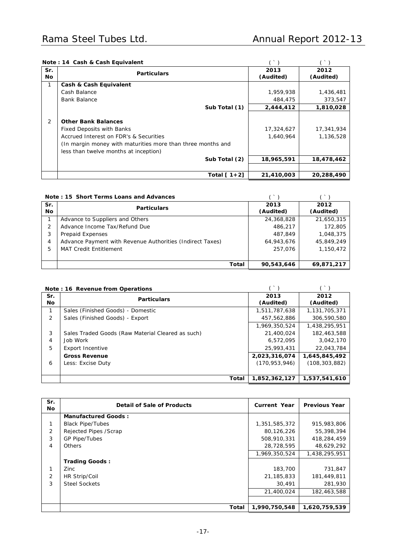### *Note : 14 Cash & Cash Equivalent* ( ` ) ( ` )

|           | 19010: 1700311 @0031119010010111                            |            |            |
|-----------|-------------------------------------------------------------|------------|------------|
| Sr.       | <b>Particulars</b>                                          | 2013       | 2012       |
| <b>No</b> |                                                             | (Audited)  | (Audited)  |
|           | Cash & Cash Equivalent                                      |            |            |
|           | Cash Balance                                                | 1,959,938  | 1,436,481  |
|           | <b>Bank Balance</b>                                         | 484,475    | 373,547    |
|           | Sub Total (1)                                               | 2,444,412  | 1,810,028  |
|           |                                                             |            |            |
| 2         | <b>Other Bank Balances</b>                                  |            |            |
|           | <b>Fixed Deposits with Banks</b>                            | 17,324,627 | 17,341,934 |
|           | Accrued Interest on FDR's & Securities                      | 1.640.964  | 1,136,528  |
|           | (In margin money with maturities more than three months and |            |            |
|           | less than twelve months at inception)                       |            |            |
|           | Sub Total (2)                                               | 18,965,591 | 18,478,462 |
|           |                                                             |            |            |
|           | Total $\lceil 1+2 \rceil$                                   | 21,410,003 | 20,288,490 |

| Note: 15 Short Terms Loans and Advances |                                                           |                   |                   |
|-----------------------------------------|-----------------------------------------------------------|-------------------|-------------------|
| Sr.<br>No.                              | <b>Particulars</b>                                        | 2013<br>(Audited) | 2012<br>(Audited) |
|                                         | Advance to Suppliers and Others                           | 24,368,828        | 21,650,315        |
| 2                                       | Advance Income Tax/Refund Due                             | 486,217           | 172,805           |
| 3                                       | Prepaid Expenses                                          | 487,849           | 1,048,375         |
| 4                                       | Advance Payment with Revenue Authorities (Indirect Taxes) | 64,943,676        | 45,849,249        |
| 5                                       | <b>MAT Credit Entitlement</b>                             | 257.076           | 1,150,472         |
|                                         |                                                           |                   |                   |
|                                         | Total                                                     | 90,543,646        | 69,871,217        |

|                  | Note: 16 Revenue from Operations                  | $( \ \ )$         |                   |
|------------------|---------------------------------------------------|-------------------|-------------------|
| Sr.<br><b>No</b> | <b>Particulars</b>                                | 2013<br>(Audited) | 2012<br>(Audited) |
| 1                | Sales (Finished Goods) - Domestic                 | 1,511,787,638     | 1,131,705,371     |
| 2                | Sales (Finished Goods) - Export                   | 457,562,886       | 306,590,580       |
|                  |                                                   | 1,969,350,524     | 1.438.295.951     |
| 3                | Sales Traded Goods (Raw Material Cleared as such) | 21,400,024        | 182,463,588       |
| 4                | Job Work                                          | 6.572.095         | 3.042.170         |
| 5                | <b>Export Incentive</b>                           | 25,993,431        | 22,043,784        |
|                  | <b>Gross Revenue</b>                              | 2,023,316,074     | 1,645,845,492     |
| 6                | Less: Excise Duty                                 | (170, 953, 946)   | (108, 303, 882)   |
|                  |                                                   |                   |                   |
|                  | Total                                             | 1,852,362,127     | 1,537,541,610     |

| Sr.<br><b>No</b> | Detail of Sale of Products | Current Year  | <b>Previous Year</b> |
|------------------|----------------------------|---------------|----------------------|
|                  | <b>Manufactured Goods:</b> |               |                      |
|                  | <b>Black Pipe/Tubes</b>    | 1,351,585,372 | 915,983,806          |
| 2                | Rejected Pipes / Scrap     | 80.126.226    | 55,398,394           |
| 3                | <b>GP Pipe/Tubes</b>       | 508,910,331   | 418,284,459          |
| 4                | <b>Others</b>              | 28,728,595    | 48,629,292           |
|                  |                            | 1,969,350,524 | 1,438,295,951        |
|                  | <b>Trading Goods:</b>      |               |                      |
| 1                | Zinc                       | 183,700       | 731.847              |
| 2                | HR Strip/Coil              | 21,185,833    | 181,449,811          |
| 3                | <b>Steel Sockets</b>       | 30,491        | 281,930              |
|                  |                            | 21,400,024    | 182,463,588          |
|                  |                            |               |                      |
|                  | Total                      | 1,990,750,548 | 1,620,759,539        |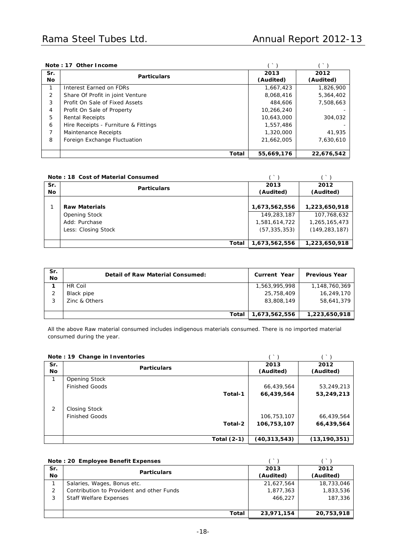|            | Note: 17 Other Income                |                   |                   |
|------------|--------------------------------------|-------------------|-------------------|
| Sr.<br>No. | <b>Particulars</b>                   | 2013<br>(Audited) | 2012<br>(Audited) |
|            | Interest Earned on FDRs              | 1,667,423         | 1,826,900         |
| 2          | Share Of Profit in joint Venture     | 8,068,416         | 5,364,402         |
| 3          | Profit On Sale of Fixed Assets       | 484,606           | 7,508,663         |
| 4          | Profit On Sale of Property           | 10,266,240        |                   |
| 5          | <b>Rental Receipts</b>               | 10.643.000        | 304,032           |
| 6          | Hire Receipts - Furniture & Fittings | 1,557,486         |                   |
| 7          | Maintenance Receipts                 | 1,320,000         | 41,935            |
| 8          | Foreign Exchange Fluctuation         | 21,662,005        | 7,630,610         |
|            |                                      |                   |                   |
|            | Total                                | 55,669,176        | 22,676,542        |

|     | Note: 18 Cost of Material Consumed |                |                 |
|-----|------------------------------------|----------------|-----------------|
| Sr. | <b>Particulars</b>                 | 2013           | 2012            |
| No. |                                    | (Audited)      | (Audited)       |
|     | <b>Raw Materials</b>               | 1,673,562,556  | 1,223,650,918   |
|     | <b>Opening Stock</b>               | 149,283,187    | 107,768,632     |
|     | Add: Purchase                      | 1,581,614,722  | 1,265,165,473   |
|     | Less: Closing Stock                | (57, 335, 353) | (149, 283, 187) |
|     | Total                              | 1,673,562,556  | 1,223,650,918   |

| Sr.<br><b>No</b> | Detail of Raw Material Consumed: | <b>Current Year</b> | <b>Previous Year</b> |
|------------------|----------------------------------|---------------------|----------------------|
|                  | HR Coil                          | 1,563,995,998       | 1,148,760,369        |
| 2                | Black pipe                       | 25,758,409          | 16,249,170           |
| 3                | Zinc & Others                    | 83,808,149          | 58,641,379           |
|                  | Total                            | 1,673,562,556       | 1,223,650,918        |

All the above Raw material consumed includes indigenous materials consumed. There is no imported material consumed during the year.

| Note: 19 Change in Inventories |                       |                   |                   |
|--------------------------------|-----------------------|-------------------|-------------------|
| Sr.<br>No.                     | <b>Particulars</b>    | 2013<br>(Audited) | 2012<br>(Audited) |
|                                |                       |                   |                   |
|                                | <b>Opening Stock</b>  |                   |                   |
|                                | <b>Finished Goods</b> | 66,439,564        | 53,249,213        |
|                                | Total-1               | 66,439,564        | 53,249,213        |
| 2                              | Closing Stock         |                   |                   |
|                                | <b>Finished Goods</b> | 106,753,107       | 66,439,564        |
|                                | Total-2               | 106,753,107       | 66,439,564        |
|                                | Total (2-1)           | (40, 313, 543)    | (13, 190, 351)    |

| Note: 20 Employee Benefit Expenses |                                           |                   |                   |
|------------------------------------|-------------------------------------------|-------------------|-------------------|
| Sr.<br><b>No</b>                   | <b>Particulars</b>                        | 2013<br>(Audited) | 2012<br>(Audited) |
|                                    | Salaries, Wages, Bonus etc.               | 21,627,564        | 18,733,046        |
| 2                                  | Contribution to Provident and other Funds | 1,877,363         | 1,833,536         |
| 3                                  | <b>Staff Welfare Expenses</b>             | 466.227           | 187,336           |
|                                    |                                           |                   |                   |
|                                    | Total                                     | 23,971,154        | 20,753,918        |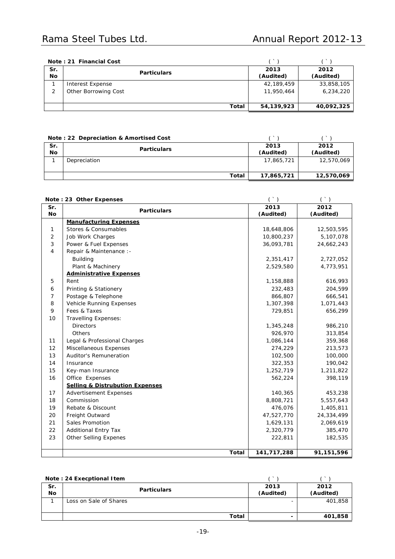|                  | Note: 21 Financial Cost |                   |                   |
|------------------|-------------------------|-------------------|-------------------|
| Sr.<br><b>No</b> | <b>Particulars</b>      | 2013<br>(Audited) | 2012<br>(Audited) |
|                  | Interest Expense        | 42,189,459        | 33,858,105        |
| $\overline{2}$   | Other Borrowing Cost    | 11,950,464        | 6,234,220         |
|                  | Total                   | 54,139,923        | 40,092,325        |

|                  | Note: 22 Depreciation & Amortised Cost |                   |                   |
|------------------|----------------------------------------|-------------------|-------------------|
| Sr.<br><b>No</b> | <b>Particulars</b>                     | 2013<br>(Audited) | 2012<br>(Audited) |
|                  | Depreciation                           | 17,865,721        | 12,570,069        |
|                  | Total                                  | 17,865,721        | 12,570,069        |

| Note: 23 Other Expenses |                                            |             |            |
|-------------------------|--------------------------------------------|-------------|------------|
| Sr.                     | <b>Particulars</b>                         | 2013        | 2012       |
| <b>No</b>               |                                            | (Audited)   | (Audited)  |
|                         | <b>Manufacturing Expenses</b>              |             |            |
| 1                       | Stores & Consumables                       | 18,648,806  | 12,503,595 |
| 2                       | Job Work Charges                           | 10,800,237  | 5,107,078  |
| 3                       | Power & Fuel Expenses                      | 36,093,781  | 24,662,243 |
| $\overline{4}$          | Repair & Maintenance :-                    |             |            |
|                         | <b>Building</b>                            | 2,351,417   | 2,727,052  |
|                         | Plant & Machinery                          | 2,529,580   | 4,773,951  |
|                         | <b>Administrative Expenses</b>             |             |            |
| 5                       | Rent                                       | 1,158,888   | 616,993    |
| 6                       | Printing & Stationery                      | 232,483     | 204,599    |
| 7                       | Postage & Telephone                        | 866,807     | 666,541    |
| 8                       | Vehicle Running Expenses                   | 1,307,398   | 1,071,443  |
| 9                       | Fees & Taxes                               | 729,851     | 656,299    |
| 10                      | Travelling Expenses:                       |             |            |
|                         | <b>Directors</b>                           | 1,345,248   | 986,210    |
|                         | Others                                     | 926,970     | 313,854    |
| 11                      | Legal & Professional Charges               | 1,086,144   | 359,368    |
| 12                      | Miscellaneous Expenses                     | 274,229     | 213,573    |
| 13                      | Auditor's Remuneration                     | 102,500     | 100,000    |
| 14                      | Insurance                                  | 322,353     | 190,042    |
| 15                      | Key-man Insurance                          | 1,252,719   | 1,211,822  |
| 16                      | Office Expenses                            | 562,224     | 398,119    |
|                         | <b>Selling &amp; Distrubution Expenses</b> |             |            |
| 17                      | <b>Advertisement Expenses</b>              | 140,365     | 453,238    |
| 18                      | Commission                                 | 8,808,721   | 5,557,643  |
| 19                      | Rebate & Discount                          | 476,076     | 1,405,811  |
| 20                      | Freight Outward                            | 47,527,770  | 24,334,499 |
| 21                      | Sales Promotion                            | 1,629,131   | 2,069,619  |
| 22                      | <b>Additional Entry Tax</b>                | 2,320,779   | 385,470    |
| 23                      | <b>Other Selling Expenes</b>               | 222,811     | 182,535    |
|                         |                                            |             |            |
|                         | <b>Total</b>                               | 141,717,288 | 91,151,596 |

| Note: 24 Execptional Item |                        |                   |                   |
|---------------------------|------------------------|-------------------|-------------------|
| Sr.<br><b>No</b>          | <b>Particulars</b>     | 2013<br>(Audited) | 2012<br>(Audited) |
|                           | Loss on Sale of Shares | $\sim$            | 401,858           |
|                           | Total                  | -                 | 401,858           |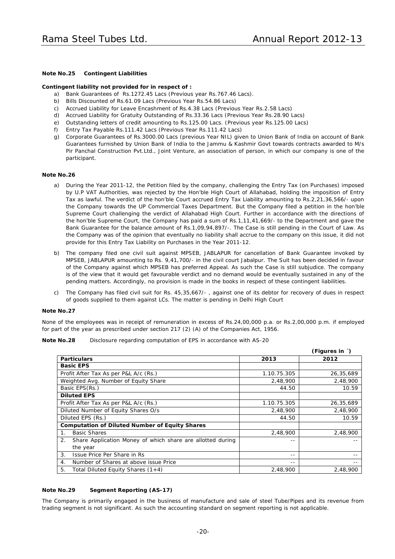*(Figures in `)*

### **Note No.25 Contingent Liabilities**

### **Contingent liability not provided for in respect of :**

- a) Bank Guarantees of Rs.1272.45 Lacs (Previous year Rs.767.46 Lacs).
- b) Bills Discounted of Rs.61.09 Lacs (Previous Year Rs.54.86 Lacs)
- c) Accrued Liability for Leave Encashment of Rs.4.38 Lacs (Previous Year Rs.2.58 Lacs)
- d) Accrued Liability for Gratuity Outstanding of Rs.33.36 Lacs (Previous Year Rs.28.90 Lacs)
- e) Outstanding letters of credit amounting to Rs.125.00 Lacs. (Previous year Rs.125.00 Lacs)
- f) Entry Tax Payable Rs.111.42 Lacs (Previous Year Rs.111.42 Lacs)
- g) Corporate Guarantees of Rs.3000.00 Lacs (previous Year NIL) given to Union Bank of India on account of Bank Guarantees furnished by Union Bank of India to the Jammu & Kashmir Govt towards contracts awarded to M/s Pir Panchal Construction Pvt.Ltd., Joint Venture, an association of person, in which our company is one of the participant.

### **Note No.26**

- a) During the Year 2011-12, the Petition filed by the company, challenging the Entry Tax (on Purchases) imposed by U.P VAT Authorities, was rejected by the Hon'ble High Court of Allahabad, holding the imposition of Entry Tax as lawful. The verdict of the hon'ble Court accrued Entry Tax Liability amounting to Rs.2,21,36,566/- upon the Company towards the UP Commercial Taxes Department. But the Company filed a petition in the hon'ble Supreme Court challenging the verdict of Allahabad High Court. Further in accordance with the directions of the hon'ble Supreme Court, the Company has paid a sum of Rs.1,11,41,669/- to the Department and gave the Bank Guarantee for the balance amount of Rs.1,09,94,897/-. The Case is still pending in the Court of Law. As the Company was of the opinion that eventually no liability shall accrue to the company on this issue, it did not provide for this Entry Tax Liability on Purchases in the Year 2011-12.
- b) The company filed one civil suit against MPSEB, JABLAPUR for cancellation of Bank Guarantee invoked by MPSEB, JABLAPUR amounting to Rs. 9,41,700/- in the civil court Jabalpur. The Suit has been decided in favour of the Company against which MPSEB has preferred Appeal. As such the Case is still subjudice. The company is of the view that it would get favourable verdict and no demand would be eventually sustained in any of the pending matters. Accordingly, no provision is made in the books in respect of these contingent liabilities.
- c) The Company has filed civil suit for Rs. 45,35,667/- , against one of its debtor for recovery of dues in respect of goods supplied to them against LCs. The matter is pending in Delhi High Court

### **Note No.27**

None of the employees was in receipt of remuneration in excess of Rs.24,00,000 p.a. or Rs.2,00,000 p.m. if employed for part of the year as prescribed under section 217 (2) (A) of the Companies Act, 1956.

|                                                                  |             | (1.1991C3117) |
|------------------------------------------------------------------|-------------|---------------|
| <b>Particulars</b>                                               | 2013        | 2012          |
| <b>Basic EPS</b>                                                 |             |               |
| Profit After Tax As per P&L A/c (Rs.)                            | 1.10.75.305 | 26,35,689     |
| Weighted Avg. Number of Equity Share                             | 2,48,900    | 2,48,900      |
| Basic EPS(Rs.)                                                   | 44.50       | 10.59         |
| <b>Diluted EPS</b>                                               |             |               |
| Profit After Tax As per P&L A/c (Rs.)                            | 1.10.75.305 | 26,35,689     |
| Diluted Number of Equity Shares O/s                              | 2,48,900    | 2,48,900      |
| Diluted EPS (Rs.)                                                | 44.50       | 10.59         |
| <b>Computation of Diluted Number of Equity Shares</b>            |             |               |
| <b>Basic Shares</b><br>1.                                        | 2,48,900    | 2,48,900      |
| Share Application Money of which share are allotted during<br>2. | $- -$       |               |
| the year                                                         |             |               |
| Issue Price Per Share in Rs<br>3.                                | $- -$       |               |
| Number of Shares at above issue Price<br>4.                      | $- -$       |               |
| 5.<br>Total Diluted Equity Shares $(1+4)$                        | 2,48,900    | 2,48,900      |

**Note No.28** Disclosure regarding computation of EPS in accordance with AS-20

### **Note No.29 Segment Reporting (AS-17)**

The Company is primarily engaged in the business of manufacture and sale of steel Tube/Pipes and its revenue from trading segment is not significant. As such the accounting standard on segment reporting is not applicable.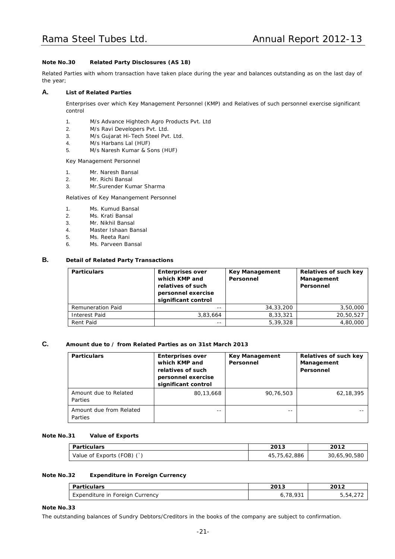### **Note No.30 Related Party Disclosures (AS 18)**

Related Parties with whom transaction have taken place during the year and balances outstanding as on the last day of the year;

### **A. List of Related Parties**

Enterprises over which Key Management Personnel (KMP) and Relatives of such personnel exercise significant control

- 1. M/s Advance Hightech Agro Products Pvt. Ltd
- 2. M/s Ravi Developers Pvt. Ltd.
- 3. M/s Gujarat Hi-Tech Steel Pvt. Ltd.
- 4. M/s Harbans Lal (HUF)

5. M/s Naresh Kumar & Sons (HUF)

Key Management Personnel

- 1. Mr. Naresh Bansal
- 2. Mr. Richi Bansal
- 3. Mr.Surender Kumar Sharma

Relatives of Key Manangement Personnel

- 1. Ms. Kumud Bansal
- 2. Ms. Krati Bansal
- 3. Mr. Nikhil Bansal
- 4. Master Ishaan Bansal
- 5. Ms. Reeta Rani
- 6. Ms. Parveen Bansal

### **B. Detail of Related Party Transactions**

| <b>Particulars</b>       | <b>Enterprises over</b><br>which KMP and<br>relatives of such<br>personnel exercise<br>significant control | <b>Key Management</b><br>Personnel | Relatives of such key<br>Management<br>Personnel |
|--------------------------|------------------------------------------------------------------------------------------------------------|------------------------------------|--------------------------------------------------|
| <b>Remuneration Paid</b> |                                                                                                            | 34, 33, 200                        | 3,50,000                                         |
| Interest Paid            | 3.83.664                                                                                                   | 8.33.321                           | 20,50,527                                        |
| Rent Paid                | $ -$                                                                                                       | 5,39,328                           | 4,80,000                                         |

### **C. Amount due to / from Related Parties as on 31st March 2013**

| <b>Particulars</b>                 | <b>Enterprises over</b><br>which KMP and<br>relatives of such<br>personnel exercise<br>significant control | <b>Key Management</b><br>Personnel | Relatives of such key<br>Management<br>Personnel |
|------------------------------------|------------------------------------------------------------------------------------------------------------|------------------------------------|--------------------------------------------------|
| Amount due to Related<br>Parties   | 80,13,668                                                                                                  | 90,76,503                          | 62, 18, 395                                      |
| Amount due from Related<br>Parties | $- -$                                                                                                      | --                                 |                                                  |

### **Note No.31 Value of Exports**

| Particulars                | 2013             | 2012<br>. د ب |
|----------------------------|------------------|---------------|
| Value of Exports (FOB) (`) | 886<br>45.75.62. | 30.65.90.580  |

### **Note No.32 Expenditure in Foreign Currency**

| <b>Particulars</b><br>ʻdl          | າດ1.າ<br>. .                                               | າດ1າ             |
|------------------------------------|------------------------------------------------------------|------------------|
| Expenditure in Foreign<br>Currency | no.<br>$\overline{\phantom{a}}$<br>78.<br>- -<br>93.<br>ັ. | ∽⊿<br>J, J, T, L |

### **Note No.33**

The outstanding balances of Sundry Debtors/Creditors in the books of the company are subject to confirmation.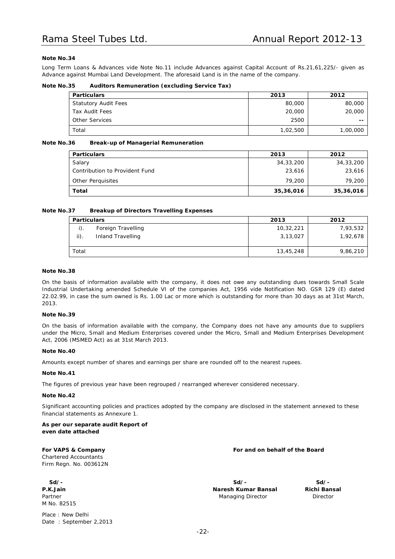### **Note No.34**

Long Term Loans & Advances vide Note No.11 include Advances against Capital Account of Rs.21,61,225/- given as Advance against Mumbai Land Development. The aforesaid Land is in the name of the company.

**Note No.35 Auditors Remuneration (excluding Service Tax)**

| <b>Particulars</b>          | 2013     | 2012     |
|-----------------------------|----------|----------|
| <b>Statutory Audit Fees</b> | 80,000   | 80,000   |
| <b>Tax Audit Fees</b>       | 20,000   | 20,000   |
| <b>Other Services</b>       | 2500     | $-$      |
| Total                       | 1,02,500 | 1,00,000 |

### **Note No.36 Break-up of Managerial Remuneration**

| <b>Particulars</b>             | 2013        | 2012        |
|--------------------------------|-------------|-------------|
| Salary                         | 34, 33, 200 | 34, 33, 200 |
| Contribution to Provident Fund | 23,616      | 23,616      |
| <b>Other Perquisites</b>       | 79,200      | 79,200      |
| Total                          | 35,36,016   | 35,36,016   |

### **Note No.37 Breakup of Directors Travelling Expenses**

| Particulars     |                    | 2013      | 2012     |
|-----------------|--------------------|-----------|----------|
|                 | Foreign Travelling | 10,32,221 | 7,93,532 |
| $\mathsf{ii}$ . | Inland Travelling  | 3,13,027  | 1,92,678 |
|                 |                    |           |          |
| Total           |                    | 13,45,248 | 9,86,210 |

### **Note No.38**

On the basis of information available with the company, it does not owe any outstanding dues towards Small Scale Industrial Undertaking amended Schedule VI of the companies Act, 1956 vide Notification NO. GSR 129 (E) dated 22.02.99, in case the sum owned is Rs. 1.00 Lac or more which is outstanding for more than 30 days as at 31st March, 2013.

### **Note No.39**

On the basis of information available with the company, the Company does not have any amounts due to suppliers under the Micro, Small and Medium Enterprises covered under the Micro, Small and Medium Enterprises Development Act, 2006 (MSMED Act) as at 31st March 2013.

### **Note No.40**

Amounts except number of shares and earnings per share are rounded off to the nearest rupees.

### **Note No.41**

The figures of previous year have been regrouped / rearranged wherever considered necessary.

### **Note No.42**

Significant accounting policies and practices adopted by the company are disclosed in the statement annexed to these financial statements as Annexure 1.

### **As per our separate audit Report of even date attached**

*Chartered Accountants* Firm Regn. No. 003612N

M No. 82515

Place : New Delhi Date : September 2,2013

**For VAPS & Company For and on behalf of the Board**

**Sd/- Sd/- Sd/- P.K.Jain Naresh Kumar Bansal Richi Bansal Partner Managing Director Director Director Director Director Director**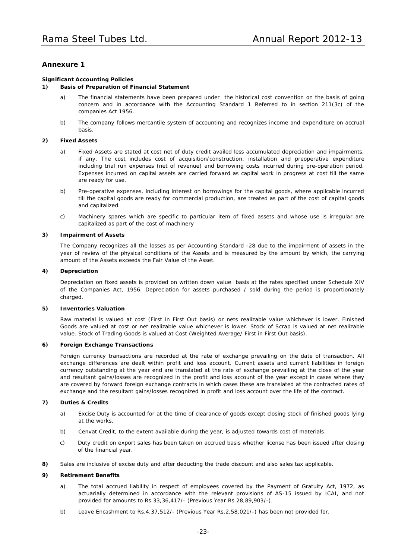### **Annexure 1**

### **Significant Accounting Policies**

### **1) Basis of Preparation of Financial Statement**

- a) The financial statements have been prepared under the historical cost convention on the basis of going concern and in accordance with the Accounting Standard 1 Referred to in section 211(3c) of the companies Act 1956.
- b) The company follows mercantile system of accounting and recognizes income and expenditure on accrual basis.

### **2) Fixed Assets**

- a) Fixed Assets are stated at cost net of duty credit availed less accumulated depreciation and impairments, if any. The cost includes cost of acquisition/construction, installation and preoperative expenditure including trial run expenses (net of revenue) and borrowing costs incurred during pre-operation period. Expenses incurred on capital assets are carried forward as capital work in progress at cost till the same are ready for use.
- b) Pre-operative expenses, including interest on borrowings for the capital goods, where applicable incurred till the capital goods are ready for commercial production, are treated as part of the cost of capital goods and capitalized.
- c) Machinery spares which are specific to particular item of fixed assets and whose use is irregular are capitalized as part of the cost of machinery

### **3) Impairment of Assets**

The Company recognizes all the losses as per Accounting Standard -28 due to the impairment of assets in the year of review of the physical conditions of the Assets and is measured by the amount by which, the carrying amount of the Assets exceeds the Fair Value of the Asset.

### **4) Depreciation**

Depreciation on fixed assets is provided on written down value basis at the rates specified under Schedule XIV of the Companies Act, 1956. Depreciation for assets purchased / sold during the period is proportionately charged.

### **5) Inventories Valuation**

Raw material is valued at cost (First in First Out basis) or nets realizable value whichever is lower. Finished Goods are valued at cost or net realizable value whichever is lower. Stock of Scrap is valued at net realizable value. Stock of Trading Goods is valued at Cost (Weighted Average/ First in First Out basis).

### **6) Foreign Exchange Transactions**

Foreign currency transactions are recorded at the rate of exchange prevailing on the date of transaction. All exchange differences are dealt within profit and loss account. Current assets and current liabilities in foreign currency outstanding at the year end are translated at the rate of exchange prevailing at the close of the year and resultant gains/losses are recognized in the profit and loss account of the year except in cases where they are covered by forward foreign exchange contracts in which cases these are translated at the contracted rates of exchange and the resultant gains/losses recognized in profit and loss account over the life of the contract.

### **7) Duties & Credits**

- a) Excise Duty is accounted for at the time of clearance of goods except closing stock of finished goods lying at the works.
- b) Cenvat Credit, to the extent available during the year, is adjusted towards cost of materials.
- c) Duty credit on export sales has been taken on accrued basis whether license has been issued after closing of the financial year.
- **8)** Sales are inclusive of excise duty and after deducting the trade discount and also sales tax applicable.

### **9) Retirement Benefits**

- a) The total accrued liability in respect of employees covered by the Payment of Gratuity Act, 1972, as actuarially determined in accordance with the relevant provisions of AS-15 issued by ICAI, and not provided for amounts to Rs.33,36,417/- (Previous Year Rs.28,89,903/-).
- b) Leave Encashment to Rs.4,37,512/- (Previous Year Rs.2,58,021/-) has been not provided for.